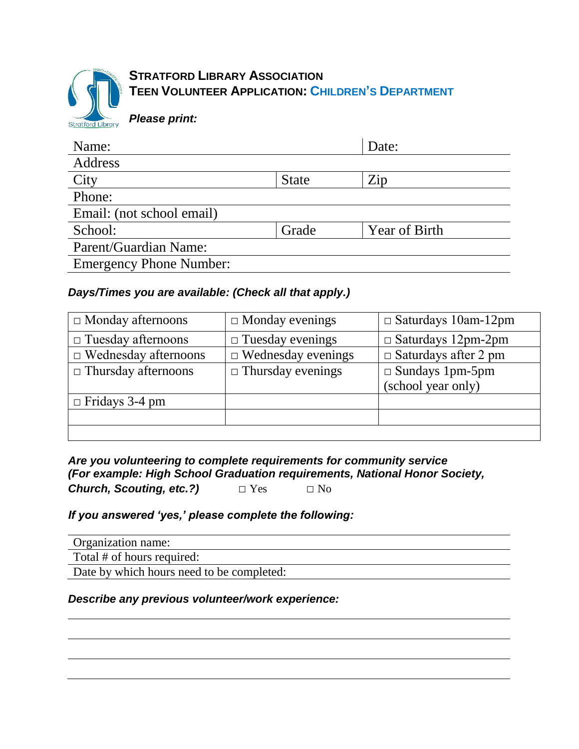

# **STRATFORD LIBRARY ASSOCIATION TEEN VOLUNTEER APPLICATION: CHILDREN'S DEPARTMENT**

*Please print:*

| Name:                          |              | Date:                |
|--------------------------------|--------------|----------------------|
| Address                        |              |                      |
| City                           | <b>State</b> | $\rm Zip$            |
| Phone:                         |              |                      |
| Email: (not school email)      |              |                      |
| School:                        | Grade        | <b>Year of Birth</b> |
| Parent/Guardian Name:          |              |                      |
| <b>Emergency Phone Number:</b> |              |                      |
|                                |              |                      |

## *Days/Times you are available: (Check all that apply.)*

| $\Box$ Monday afternoons    | $\Box$ Monday evenings    | $\Box$ Saturdays 10am-12pm  |
|-----------------------------|---------------------------|-----------------------------|
| $\Box$ Tuesday afternoons   | $\Box$ Tuesday evenings   | $\Box$ Saturdays 12pm-2pm   |
| $\Box$ Wednesday afternoons | $\Box$ Wednesday evenings | $\Box$ Saturdays after 2 pm |
| $\Box$ Thursday afternoons  | $\Box$ Thursday evenings  | $\Box$ Sundays 1pm-5pm      |
|                             |                           | (school year only)          |
| $\Box$ Fridays 3-4 pm       |                           |                             |
|                             |                           |                             |
|                             |                           |                             |

*Are you volunteering to complete requirements for community service (For example: High School Graduation requirements, National Honor Society,*  **Church, Scouting, etc.?)** □ Yes □ No

## *If you answered 'yes,' please complete the following:*

| Organization name:                        |
|-------------------------------------------|
| Total # of hours required:                |
| Date by which hours need to be completed: |

## *Describe any previous volunteer/work experience:*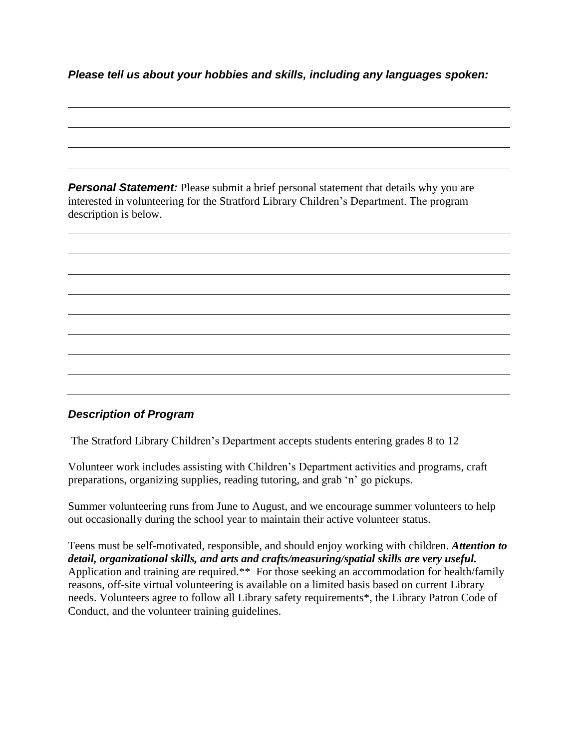*Please tell us about your hobbies and skills, including any languages spoken:*

**Personal Statement:** Please submit a brief personal statement that details why you are interested in volunteering for the Stratford Library Children's Department. The program description is below.

#### *Description of Program*

The Stratford Library Children's Department accepts students entering grades 8 to 12

Volunteer work includes assisting with Children's Department activities and programs, craft preparations, organizing supplies, reading tutoring, and grab 'n' go pickups.

Summer volunteering runs from June to August, and we encourage summer volunteers to help out occasionally during the school year to maintain their active volunteer status.

Teens must be self-motivated, responsible, and should enjoy working with children. *Attention to detail, organizational skills, and arts and crafts/measuring/spatial skills are very useful.* Application and training are required.\*\* For those seeking an accommodation for health/family reasons, off-site virtual volunteering is available on a limited basis based on current Library needs. Volunteers agree to follow all Library safety requirements\*, the Library Patron Code of Conduct, and the volunteer training guidelines.